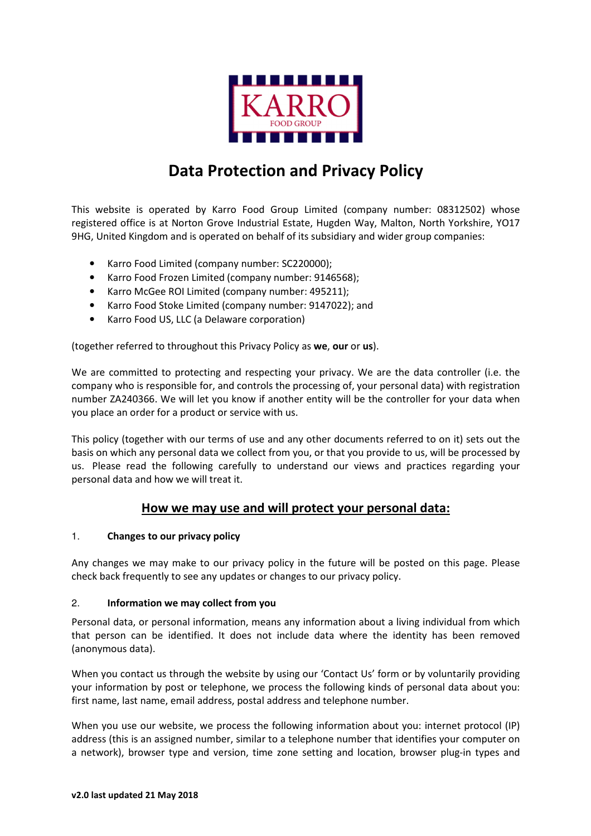

# Data Protection and Privacy Policy

This website is operated by Karro Food Group Limited (company number: 08312502) whose registered office is at Norton Grove Industrial Estate, Hugden Way, Malton, North Yorkshire, YO17 9HG, United Kingdom and is operated on behalf of its subsidiary and wider group companies:

- Karro Food Limited (company number: SC220000);
- Karro Food Frozen Limited (company number: 9146568);
- Karro McGee ROI Limited (company number: 495211);
- Karro Food Stoke Limited (company number: 9147022); and
- Karro Food US, LLC (a Delaware corporation)

(together referred to throughout this Privacy Policy as we, our or us).

We are committed to protecting and respecting your privacy. We are the data controller (i.e. the company who is responsible for, and controls the processing of, your personal data) with registration number ZA240366. We will let you know if another entity will be the controller for your data when you place an order for a product or service with us.

This policy (together with our terms of use and any other documents referred to on it) sets out the basis on which any personal data we collect from you, or that you provide to us, will be processed by us. Please read the following carefully to understand our views and practices regarding your personal data and how we will treat it.

# How we may use and will protect your personal data:

# 1. Changes to our privacy policy

Any changes we may make to our privacy policy in the future will be posted on this page. Please check back frequently to see any updates or changes to our privacy policy.

# 2. Information we may collect from you

Personal data, or personal information, means any information about a living individual from which that person can be identified. It does not include data where the identity has been removed (anonymous data).

When you contact us through the website by using our 'Contact Us' form or by voluntarily providing your information by post or telephone, we process the following kinds of personal data about you: first name, last name, email address, postal address and telephone number.

When you use our website, we process the following information about you: internet protocol (IP) address (this is an assigned number, similar to a telephone number that identifies your computer on a network), browser type and version, time zone setting and location, browser plug-in types and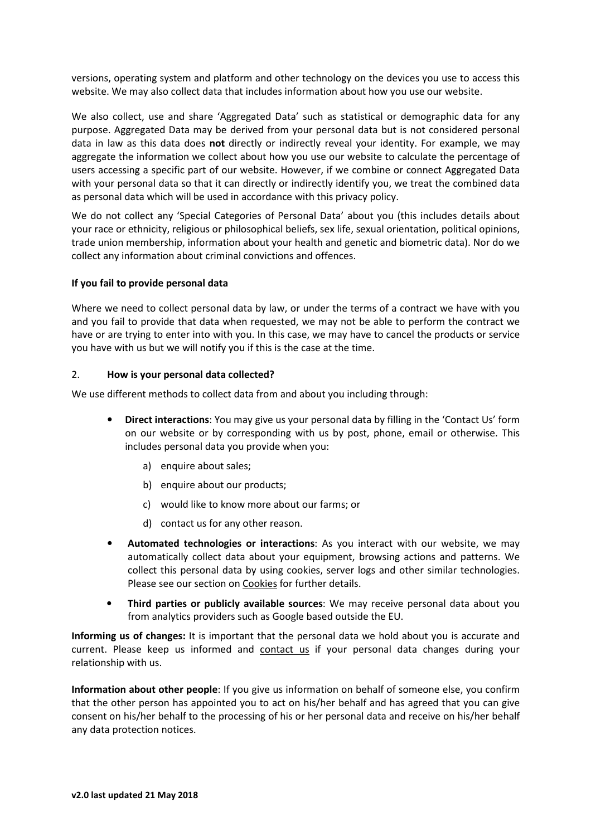versions, operating system and platform and other technology on the devices you use to access this website. We may also collect data that includes information about how you use our website.

We also collect, use and share 'Aggregated Data' such as statistical or demographic data for any purpose. Aggregated Data may be derived from your personal data but is not considered personal data in law as this data does not directly or indirectly reveal your identity. For example, we may aggregate the information we collect about how you use our website to calculate the percentage of users accessing a specific part of our website. However, if we combine or connect Aggregated Data with your personal data so that it can directly or indirectly identify you, we treat the combined data as personal data which will be used in accordance with this privacy policy.

We do not collect any 'Special Categories of Personal Data' about you (this includes details about your race or ethnicity, religious or philosophical beliefs, sex life, sexual orientation, political opinions, trade union membership, information about your health and genetic and biometric data). Nor do we collect any information about criminal convictions and offences.

### If you fail to provide personal data

Where we need to collect personal data by law, or under the terms of a contract we have with you and you fail to provide that data when requested, we may not be able to perform the contract we have or are trying to enter into with you. In this case, we may have to cancel the products or service you have with us but we will notify you if this is the case at the time.

#### 2. How is your personal data collected?

We use different methods to collect data from and about you including through:

- Direct interactions: You may give us your personal data by filling in the 'Contact Us' form on our website or by corresponding with us by post, phone, email or otherwise. This includes personal data you provide when you:
	- a) enquire about sales;
	- b) enquire about our products:
	- c) would like to know more about our farms; or
	- d) contact us for any other reason.
- Automated technologies or interactions: As you interact with our website, we may automatically collect data about your equipment, browsing actions and patterns. We collect this personal data by using cookies, server logs and other similar technologies. Please see our section on Cookies for further details.
- Third parties or publicly available sources: We may receive personal data about you from analytics providers such as Google based outside the EU.

Informing us of changes: It is important that the personal data we hold about you is accurate and current. Please keep us informed and contact us if your personal data changes during your relationship with us.

Information about other people: If you give us information on behalf of someone else, you confirm that the other person has appointed you to act on his/her behalf and has agreed that you can give consent on his/her behalf to the processing of his or her personal data and receive on his/her behalf any data protection notices.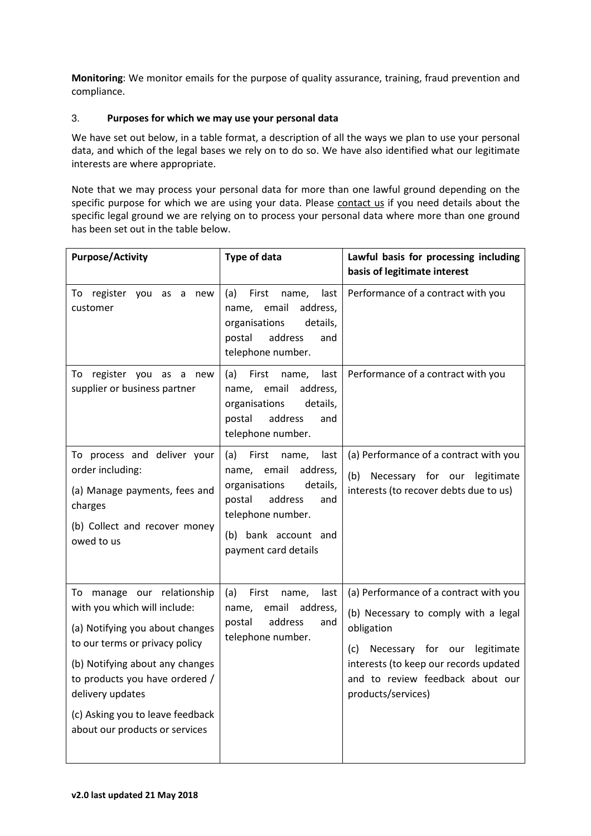Monitoring: We monitor emails for the purpose of quality assurance, training, fraud prevention and compliance.

# 3. Purposes for which we may use your personal data

We have set out below, in a table format, a description of all the ways we plan to use your personal data, and which of the legal bases we rely on to do so. We have also identified what our legitimate interests are where appropriate.

Note that we may process your personal data for more than one lawful ground depending on the specific purpose for which we are using your data. Please contact us if you need details about the specific legal ground we are relying on to process your personal data where more than one ground has been set out in the table below.

| <b>Purpose/Activity</b>                                                                                                                                                                                                                                                                        | <b>Type of data</b>                                                                                                                                                                       | Lawful basis for processing including<br>basis of legitimate interest                                                                                                                                                                   |
|------------------------------------------------------------------------------------------------------------------------------------------------------------------------------------------------------------------------------------------------------------------------------------------------|-------------------------------------------------------------------------------------------------------------------------------------------------------------------------------------------|-----------------------------------------------------------------------------------------------------------------------------------------------------------------------------------------------------------------------------------------|
| register you<br>To<br>as<br>a<br>new<br>customer                                                                                                                                                                                                                                               | (a)<br>First<br>last<br>name,<br>email<br>address,<br>name,<br>organisations<br>details,<br>address<br>postal<br>and<br>telephone number.                                                 | Performance of a contract with you                                                                                                                                                                                                      |
| register you as a new<br>To<br>supplier or business partner                                                                                                                                                                                                                                    | (a)<br>First<br>name,<br>last<br>email<br>address,<br>name,<br>organisations<br>details,<br>address<br>postal<br>and<br>telephone number.                                                 | Performance of a contract with you                                                                                                                                                                                                      |
| To process and deliver your<br>order including:<br>(a) Manage payments, fees and<br>charges<br>(b) Collect and recover money<br>owed to us                                                                                                                                                     | (a)<br>First<br>last<br>name,<br>email<br>address,<br>name,<br>organisations<br>details,<br>address<br>postal<br>and<br>telephone number.<br>(b) bank account and<br>payment card details | (a) Performance of a contract with you<br>(b) Necessary for our legitimate<br>interests (to recover debts due to us)                                                                                                                    |
| To manage our relationship<br>with you which will include:<br>(a) Notifying you about changes<br>to our terms or privacy policy<br>(b) Notifying about any changes<br>to products you have ordered /<br>delivery updates<br>(c) Asking you to leave feedback<br>about our products or services | (a)<br>First<br>name,<br>last<br>email<br>address,<br>name,<br>address<br>postal<br>and<br>telephone number.                                                                              | (a) Performance of a contract with you<br>(b) Necessary to comply with a legal<br>obligation<br>(c) Necessary for our<br>legitimate<br>interests (to keep our records updated<br>and to review feedback about our<br>products/services) |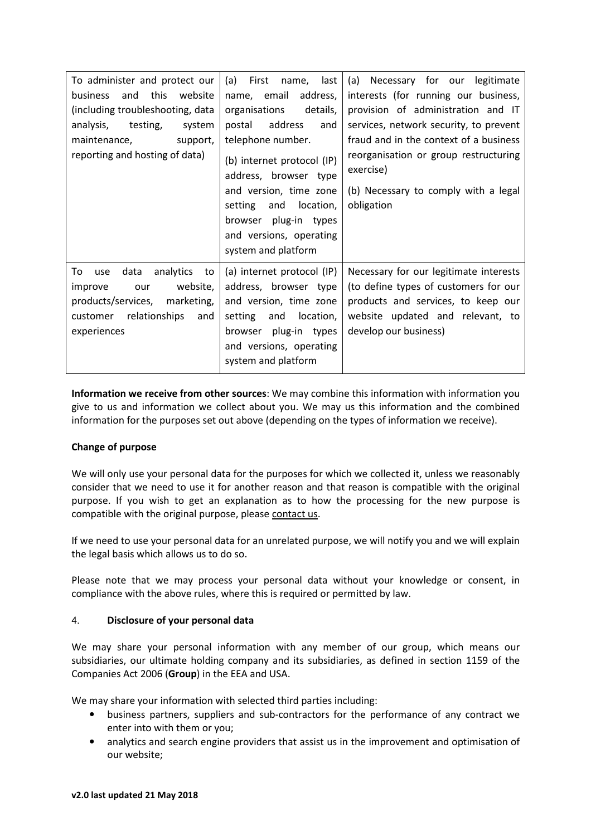| To administer and protect our<br>this website<br>business<br>and<br>(including troubleshooting, data<br>analysis, testing,<br>system<br>maintenance,<br>support,<br>reporting and hosting of data) | (a)<br>First<br>name, last<br>address,<br>name, email<br>details,<br>organisations<br>address<br>postal<br>and<br>telephone number.<br>(b) internet protocol (IP)<br>address, browser type<br>and version, time zone<br>setting<br>and<br>location,<br>browser plug-in types<br>and versions, operating<br>system and platform | (a) Necessary for our legitimate<br>interests (for running our business,<br>provision of administration and IT<br>services, network security, to prevent<br>fraud and in the context of a business<br>reorganisation or group restructuring<br>exercise)<br>(b) Necessary to comply with a legal<br>obligation |
|----------------------------------------------------------------------------------------------------------------------------------------------------------------------------------------------------|--------------------------------------------------------------------------------------------------------------------------------------------------------------------------------------------------------------------------------------------------------------------------------------------------------------------------------|----------------------------------------------------------------------------------------------------------------------------------------------------------------------------------------------------------------------------------------------------------------------------------------------------------------|
| data<br>analytics<br>To<br>to  <br>use<br>website,<br>improve<br>our<br>marketing,<br>products/services,<br>relationships<br>customer<br>and<br>experiences                                        | (a) internet protocol (IP)<br>address, browser type<br>and version, time zone<br>setting<br>and<br>location,<br>plug-in types<br>browser<br>and versions, operating<br>system and platform                                                                                                                                     | Necessary for our legitimate interests<br>(to define types of customers for our<br>products and services, to keep our<br>website updated and relevant, to<br>develop our business)                                                                                                                             |

Information we receive from other sources: We may combine this information with information you give to us and information we collect about you. We may us this information and the combined information for the purposes set out above (depending on the types of information we receive).

# Change of purpose

We will only use your personal data for the purposes for which we collected it, unless we reasonably consider that we need to use it for another reason and that reason is compatible with the original purpose. If you wish to get an explanation as to how the processing for the new purpose is compatible with the original purpose, please contact us.

If we need to use your personal data for an unrelated purpose, we will notify you and we will explain the legal basis which allows us to do so.

Please note that we may process your personal data without your knowledge or consent, in compliance with the above rules, where this is required or permitted by law.

### 4. Disclosure of your personal data

We may share your personal information with any member of our group, which means our subsidiaries, our ultimate holding company and its subsidiaries, as defined in section 1159 of the Companies Act 2006 (Group) in the EEA and USA.

We may share your information with selected third parties including:

- business partners, suppliers and sub-contractors for the performance of any contract we enter into with them or you;
- analytics and search engine providers that assist us in the improvement and optimisation of our website;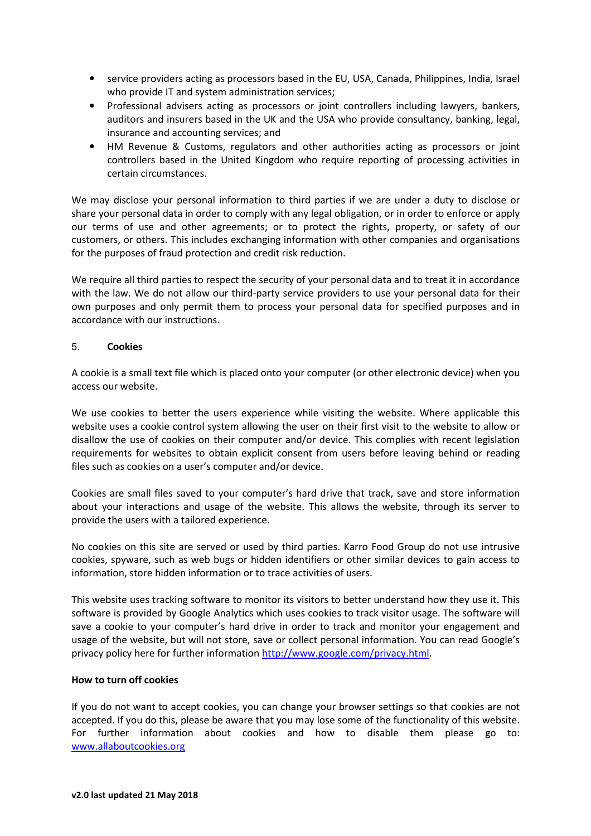- service providers acting as processors based in the EU, USA, Canada, Philippines, India, Israel who provide IT and system administration services;
- Professional advisers acting as processors or joint controllers including lawyers, bankers, auditors and insurers based in the UK and the USA who provide consultancy, banking, legal, insurance and accounting services; and
- HM Revenue & Customs, regulators and other authorities acting as processors or joint controllers based in the United Kingdom who require reporting of processing activities in certain circumstances.

We may disclose your personal information to third parties if we are under a duty to disclose or share your personal data in order to comply with any legal obligation, or in order to enforce or apply our terms of use and other agreements; or to protect the rights, property, or safety of our customers, or others. This includes exchanging information with other companies and organisations for the purposes of fraud protection and credit risk reduction.

We require all third parties to respect the security of your personal data and to treat it in accordance with the law. We do not allow our third-party service providers to use your personal data for their own purposes and only permit them to process your personal data for specified purposes and in accordance with our instructions.

# 5. Cookies

A cookie is a small text file which is placed onto your computer (or other electronic device) when you access our website.

We use cookies to better the users experience while visiting the website. Where applicable this website uses a cookie control system allowing the user on their first visit to the website to allow or disallow the use of cookies on their computer and/or device. This complies with recent legislation requirements for websites to obtain explicit consent from users before leaving behind or reading files such as cookies on a user's computer and/or device.

Cookies are small files saved to your computer's hard drive that track, save and store information about your interactions and usage of the website. This allows the website, through its server to provide the users with a tailored experience.

No cookies on this site are served or used by third parties. Karro Food Group do not use intrusive cookies, spyware, such as web bugs or hidden identifiers or other similar devices to gain access to information, store hidden information or to trace activities of users.

This website uses tracking software to monitor its visitors to better understand how they use it. This software is provided by Google Analytics which uses cookies to track visitor usage. The software will save a cookie to your computer's hard drive in order to track and monitor your engagement and usage of the website, but will not store, save or collect personal information. You can read Google's privacy policy here for further information http://www.google.com/privacy.html.

### How to turn off cookies

If you do not want to accept cookies, you can change your browser settings so that cookies are not accepted. If you do this, please be aware that you may lose some of the functionality of this website. For further information about cookies and how to disable them please go to: www.allaboutcookies.org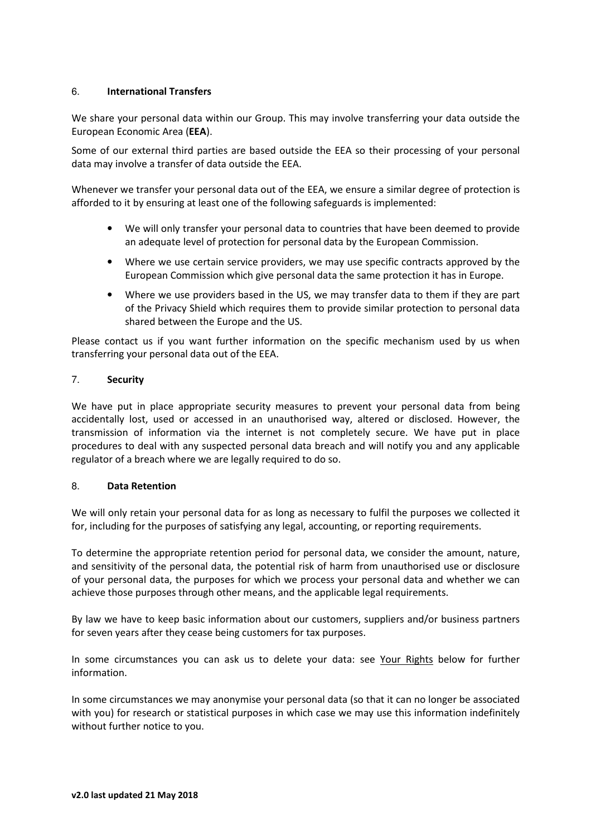# 6. International Transfers

We share your personal data within our Group. This may involve transferring your data outside the European Economic Area (EEA).

Some of our external third parties are based outside the EEA so their processing of your personal data may involve a transfer of data outside the EEA.

Whenever we transfer your personal data out of the EEA, we ensure a similar degree of protection is afforded to it by ensuring at least one of the following safeguards is implemented:

- We will only transfer your personal data to countries that have been deemed to provide an adequate level of protection for personal data by the European Commission.
- Where we use certain service providers, we may use specific contracts approved by the European Commission which give personal data the same protection it has in Europe.
- Where we use providers based in the US, we may transfer data to them if they are part of the Privacy Shield which requires them to provide similar protection to personal data shared between the Europe and the US.

Please contact us if you want further information on the specific mechanism used by us when transferring your personal data out of the EEA.

### 7. Security

We have put in place appropriate security measures to prevent your personal data from being accidentally lost, used or accessed in an unauthorised way, altered or disclosed. However, the transmission of information via the internet is not completely secure. We have put in place procedures to deal with any suspected personal data breach and will notify you and any applicable regulator of a breach where we are legally required to do so.

### 8. Data Retention

We will only retain your personal data for as long as necessary to fulfil the purposes we collected it for, including for the purposes of satisfying any legal, accounting, or reporting requirements.

To determine the appropriate retention period for personal data, we consider the amount, nature, and sensitivity of the personal data, the potential risk of harm from unauthorised use or disclosure of your personal data, the purposes for which we process your personal data and whether we can achieve those purposes through other means, and the applicable legal requirements.

By law we have to keep basic information about our customers, suppliers and/or business partners for seven years after they cease being customers for tax purposes.

In some circumstances you can ask us to delete your data: see Your Rights below for further information.

In some circumstances we may anonymise your personal data (so that it can no longer be associated with you) for research or statistical purposes in which case we may use this information indefinitely without further notice to you.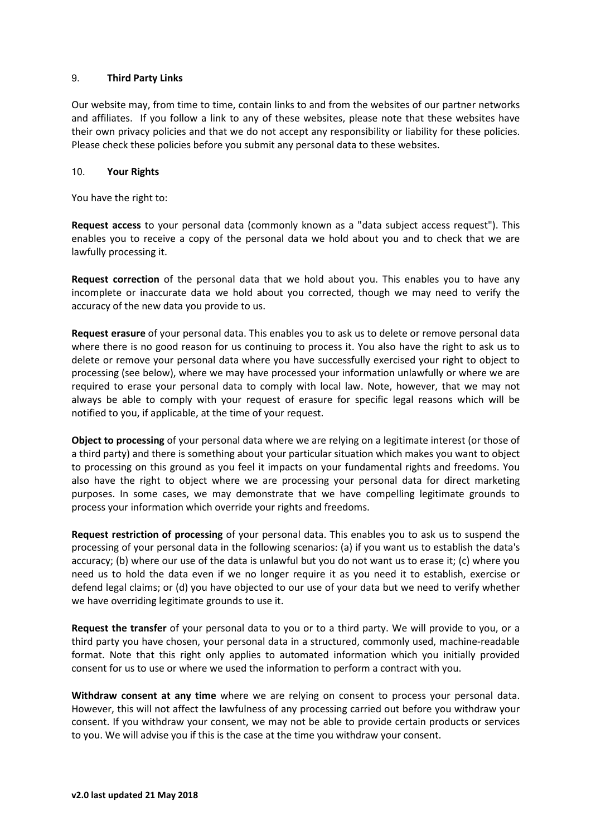### 9. Third Party Links

Our website may, from time to time, contain links to and from the websites of our partner networks and affiliates. If you follow a link to any of these websites, please note that these websites have their own privacy policies and that we do not accept any responsibility or liability for these policies. Please check these policies before you submit any personal data to these websites.

#### 10. Your Rights

You have the right to:

Request access to your personal data (commonly known as a "data subject access request"). This enables you to receive a copy of the personal data we hold about you and to check that we are lawfully processing it.

Request correction of the personal data that we hold about you. This enables you to have any incomplete or inaccurate data we hold about you corrected, though we may need to verify the accuracy of the new data you provide to us.

Request erasure of your personal data. This enables you to ask us to delete or remove personal data where there is no good reason for us continuing to process it. You also have the right to ask us to delete or remove your personal data where you have successfully exercised your right to object to processing (see below), where we may have processed your information unlawfully or where we are required to erase your personal data to comply with local law. Note, however, that we may not always be able to comply with your request of erasure for specific legal reasons which will be notified to you, if applicable, at the time of your request.

Object to processing of your personal data where we are relying on a legitimate interest (or those of a third party) and there is something about your particular situation which makes you want to object to processing on this ground as you feel it impacts on your fundamental rights and freedoms. You also have the right to object where we are processing your personal data for direct marketing purposes. In some cases, we may demonstrate that we have compelling legitimate grounds to process your information which override your rights and freedoms.

Request restriction of processing of your personal data. This enables you to ask us to suspend the processing of your personal data in the following scenarios: (a) if you want us to establish the data's accuracy; (b) where our use of the data is unlawful but you do not want us to erase it; (c) where you need us to hold the data even if we no longer require it as you need it to establish, exercise or defend legal claims; or (d) you have objected to our use of your data but we need to verify whether we have overriding legitimate grounds to use it.

Request the transfer of your personal data to you or to a third party. We will provide to you, or a third party you have chosen, your personal data in a structured, commonly used, machine-readable format. Note that this right only applies to automated information which you initially provided consent for us to use or where we used the information to perform a contract with you.

Withdraw consent at any time where we are relying on consent to process your personal data. However, this will not affect the lawfulness of any processing carried out before you withdraw your consent. If you withdraw your consent, we may not be able to provide certain products or services to you. We will advise you if this is the case at the time you withdraw your consent.